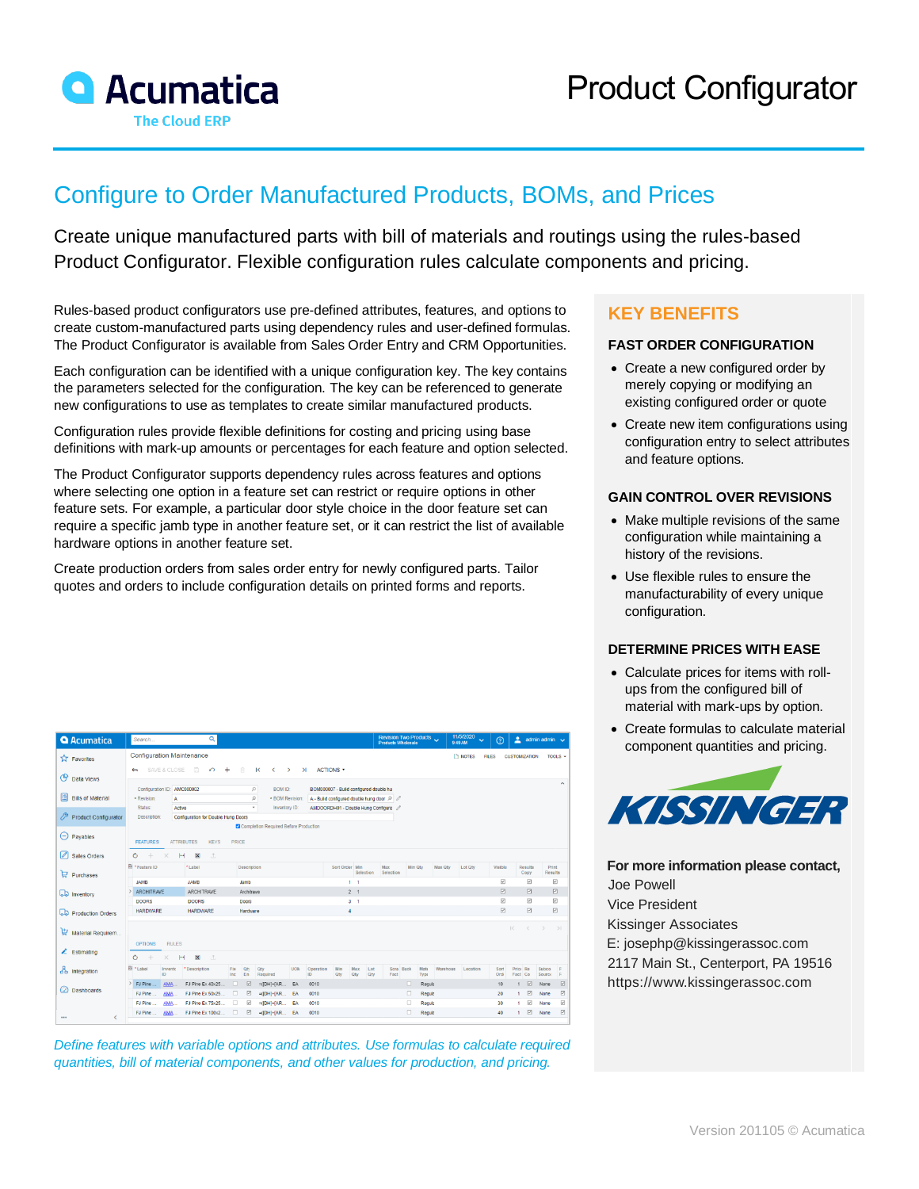

**O** Acumatica

# Configure to Order Manufactured Products, BOMs, and Prices

Create unique manufactured parts with bill of materials and routings using the rules-based Product Configurator. Flexible configuration rules calculate components and pricing.

Rules-based product configurators use pre-defined attributes, features, and options to create custom-manufactured parts using dependency rules and user-defined formulas. The Product Configurator is available from Sales Order Entry and CRM Opportunities.

Each configuration can be identified with a unique configuration key. The key contains the parameters selected for the configuration. The key can be referenced to generate new configurations to use as templates to create similar manufactured products.

Configuration rules provide flexible definitions for costing and pricing using base definitions with mark-up amounts or percentages for each feature and option selected.

The Product Configurator supports dependency rules across features and options where selecting one option in a feature set can restrict or require options in other feature sets. For example, a particular door style choice in the door feature set can require a specific jamb type in another feature set, or it can restrict the list of available hardware options in another feature set.

Create production orders from sales order entry for newly configured parts. Tailor quotes and orders to include configuration details on printed forms and reports.

| <b>Configuration Maintenance</b><br><b>TA</b> Favorites                                                                                                                                        |                                                                                   | <b>T</b> NOTES | <b>FILES</b>            | <b>CUSTOMIZATION</b>    | TOOLS $\sim$                   |  |  |  |  |  |
|------------------------------------------------------------------------------------------------------------------------------------------------------------------------------------------------|-----------------------------------------------------------------------------------|----------------|-------------------------|-------------------------|--------------------------------|--|--|--|--|--|
| 同<br>自<br><b>ACTIONS *</b><br>SAVE & CLOSE<br>$\Omega$<br>$\mathsf{R}$<br>$+$<br>$\hat{z}$<br>$\rightarrow$<br>$\geq$<br>$\leftarrow$<br><b>C</b> Data Views                                   | $\hat{\phantom{a}}$                                                               |                |                         |                         |                                |  |  |  |  |  |
| Configuration ID: AMC000002<br>$\circ$<br>BOM ID:<br>Bills of Material<br>$\circ$<br>* Revision:<br>- BOM Revision:<br>A<br>Status:<br>Inventory ID:<br>Active<br>$\;$                         | BOM000007 - Build configured double hu<br>A - Build configured double hung door Q |                |                         |                         |                                |  |  |  |  |  |
| Product Configurator<br><b>Description:</b><br>Configuration for Double Hung Doors                                                                                                             | AMDOORDH01 - Double Hung Configure                                                |                |                         |                         |                                |  |  |  |  |  |
| $\Theta$ Payables<br><b>FEATURES</b><br><b>ATTRIBUTES</b><br><b>KEYS</b><br>PRICE                                                                                                              | Completion Required Before Production                                             |                |                         |                         |                                |  |  |  |  |  |
| 8 Sales Orders<br>$\circ$<br>H<br>$\mathbf{x}$<br>$\pm$<br>$+$<br>×                                                                                                                            |                                                                                   |                |                         |                         |                                |  |  |  |  |  |
| E *Feature ID<br>*Label<br>Sort Order Min<br>Description<br>Selection<br>$\Box$ Purchases                                                                                                      | Max<br>Min Otv<br>Max Oty<br>Selection                                            | Lot Qty        | Visible                 | Results<br>Copy         | Print<br><b>Results</b>        |  |  |  |  |  |
| <b>JAMB</b><br><b>JAMB</b><br>Jamb<br>$1 - 1$                                                                                                                                                  |                                                                                   |                | $\overline{\mathbb{F}}$ | ☑                       | $\overline{\omega}$            |  |  |  |  |  |
| 2 <sub>1</sub><br><b>ARCHITRAVE</b><br><b>ARCHITRAVE</b><br>Architrave<br><b>LD</b> Inventory                                                                                                  |                                                                                   |                | $\Box$                  | $\Box$                  | 図                              |  |  |  |  |  |
| $3 - 1$<br><b>DOORS</b><br><b>DOORS</b><br>Doors                                                                                                                                               |                                                                                   |                | $\overline{\mathbf{v}}$ | ☑                       | ☑                              |  |  |  |  |  |
| <b>HARDWARE</b><br><b>HARDWARE</b><br>$\overline{4}$<br>Hardware<br><b>LD</b> Production Orders                                                                                                |                                                                                   |                | $\Box$                  | $\overline{\mathbb{F}}$ | ☑                              |  |  |  |  |  |
| Material Requirem<br><b>RULES</b><br><b>OPTIONS</b>                                                                                                                                            |                                                                                   |                | $\mathbb{R}$            | $\langle$               | $\rightarrow$<br>$\rightarrow$ |  |  |  |  |  |
| $\angle$ Estimating<br>Ò<br>$\mathbf{x}$<br>÷<br>H<br>$\pm$<br>$\times$                                                                                                                        |                                                                                   |                |                         |                         |                                |  |  |  |  |  |
| <b>Ri</b> *Label<br>* Description<br>Operation<br>Invento<br>Fix<br><b>UOM</b><br>Min<br>Max<br>Qti<br>Qty<br>Lot<br>da Integration<br>ID.<br>En<br>Required<br>ID<br>Qty<br>Inc<br>Qty<br>Qty | Scra Back<br>Mate<br>Warehous<br>Fact<br>Type                                     | Location       | Sort<br>Ord             | Price Re<br>Fact Co.    | Subco<br><b>Source</b><br>E    |  |  |  |  |  |
| ☑<br>$\Box$<br>> FJ Pine<br><b>AMA</b><br>FJ Pine Ex 40x25.<br>$=([DH]+[AR.$<br>EA<br>0010                                                                                                     | $\Box$<br>Regula                                                                  |                | 10                      | ☑                       | 図<br>None                      |  |  |  |  |  |
| a Dashboards<br>☑<br>FJ Pine<br>AMA.<br>FJ Pine Ex 50x25.<br>□<br>$=([DH]+[AR]$<br>EA<br>0010                                                                                                  | $\Box$<br>Regula                                                                  |                | 20<br>$\mathbf{1}$      | ☑                       | ☑<br>None                      |  |  |  |  |  |
| ☑<br>□<br>FJ Pine Ex 75x25.<br>FJ Pine<br><b>AMA</b><br>$=([DH]+[AR]$<br>EA<br>0010                                                                                                            | $\Box$<br>Regula                                                                  |                | 30                      | ☑                       | ☑<br>None                      |  |  |  |  |  |
| ☑<br>o<br>FJ Pine Ex 100x2.<br>AMA.<br>$=([DH]+[AR]$ EA<br>0010<br>FJ Pine<br>€<br>                                                                                                            | $\Box$<br>Regula                                                                  |                | 40<br>$\mathbf{1}$      | ☑                       | ⊠<br>None                      |  |  |  |  |  |

*Define features with variable options and attributes. Use formulas to calculate required quantities, bill of material components, and other values for production, and pricing.*

## **KEY BENEFITS**

#### **FAST ORDER CONFIGURATION**

- Create a new configured order by merely copying or modifying an existing configured order or quote
- Create new item configurations using configuration entry to select attributes and feature options.

#### **GAIN CONTROL OVER REVISIONS**

- Make multiple revisions of the same configuration while maintaining a history of the revisions.
- Use flexible rules to ensure the manufacturability of every unique configuration.

#### **DETERMINE PRICES WITH EASE**

- Calculate prices for items with rollups from the configured bill of material with mark-ups by option.
- Create formulas to calculate material component quantities and pricing.



**For more information please contact,** Joe Powell Vice President Kissinger Associates [E: josephp@kissingerassoc.com](mailto:josephp@kissingerassoc.com) 2117 Main St., Centerport, PA 19516 [https://www.kissingerassoc.com](https://www.kissingerassoc.com/)